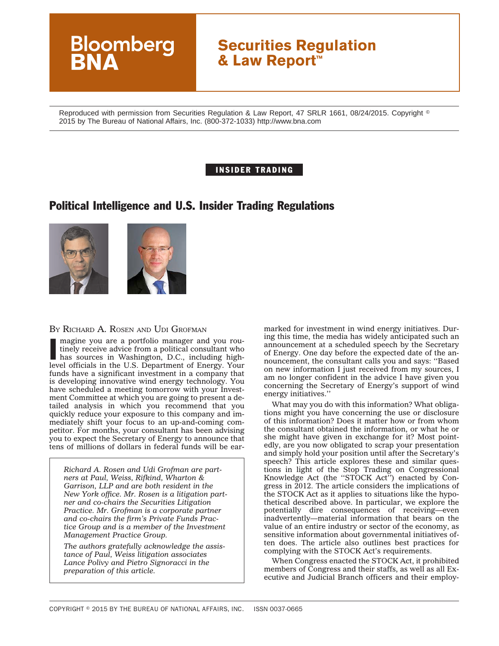# **Securities Regulation & Law Report™**

Reproduced with permission from Securities Regulation & Law Report, 47 SRLR 1661, 08/24/2015. Copyright  $^\circ$ 2015 by The Bureau of National Affairs, Inc. (800-372-1033) http://www.bna.com

## INSIDER TRADING

## Political Intelligence and U.S. Insider Trading Regulations



**Bloomberg** 

#### BY RICHARD A. ROSEN AND UDI GROFMAN

Imagine you are a portfolio manager and you routinely receive advice from a political consultant who has sources in Washington, D.C., including high-<br>level officials in the U.S. Department of Energy. Your magine you are a portfolio manager and you routinely receive advice from a political consultant who has sources in Washington, D.C., including highfunds have a significant investment in a company that is developing innovative wind energy technology. You have scheduled a meeting tomorrow with your Investment Committee at which you are going to present a detailed analysis in which you recommend that you quickly reduce your exposure to this company and immediately shift your focus to an up-and-coming competitor. For months, your consultant has been advising you to expect the Secretary of Energy to announce that tens of millions of dollars in federal funds will be ear-

*Richard A. Rosen and Udi Grofman are partners at Paul, Weiss, Rifkind, Wharton & Garrison, LLP and are both resident in the New York office. Mr. Rosen is a litigation partner and co-chairs the Securities Litigation Practice. Mr. Grofman is a corporate partner and co-chairs the firm's Private Funds Practice Group and is a member of the Investment Management Practice Group.*

*The authors gratefully acknowledge the assistance of Paul, Weiss litigation associates Lance Polivy and Pietro Signoracci in the preparation of this article.*

marked for investment in wind energy initiatives. During this time, the media has widely anticipated such an announcement at a scheduled speech by the Secretary of Energy. One day before the expected date of the announcement, the consultant calls you and says: ''Based on new information I just received from my sources, I am no longer confident in the advice I have given you concerning the Secretary of Energy's support of wind energy initiatives.''

What may you do with this information? What obligations might you have concerning the use or disclosure of this information? Does it matter how or from whom the consultant obtained the information, or what he or she might have given in exchange for it? Most pointedly, are you now obligated to scrap your presentation and simply hold your position until after the Secretary's speech? This article explores these and similar questions in light of the Stop Trading on Congressional Knowledge Act (the ''STOCK Act'') enacted by Congress in 2012. The article considers the implications of the STOCK Act as it applies to situations like the hypothetical described above. In particular, we explore the potentially dire consequences of receiving—even inadvertently—material information that bears on the value of an entire industry or sector of the economy, as sensitive information about governmental initiatives often does. The article also outlines best practices for complying with the STOCK Act's requirements.

When Congress enacted the STOCK Act, it prohibited members of Congress and their staffs, as well as all Executive and Judicial Branch officers and their employ-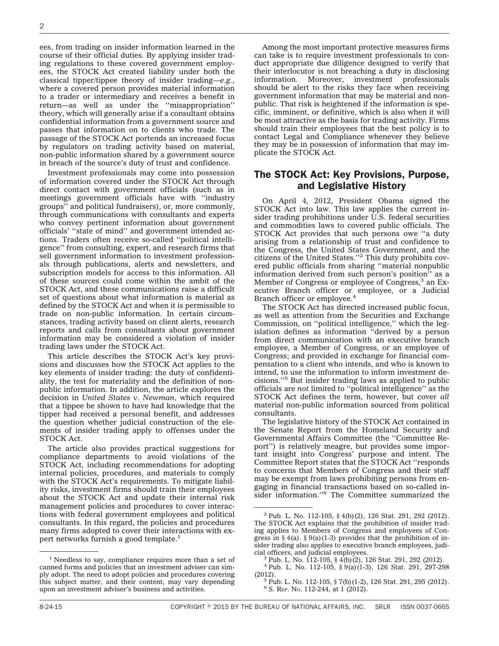ees, from trading on insider information learned in the course of their official duties. By applying insider trading regulations to these covered government employees, the STOCK Act created liability under both the classical tipper/tippee theory of insider trading—*e.g.*, where a covered person provides material information to a trader or intermediary and receives a benefit in return—as well as under the ''misappropriation'' theory, which will generally arise if a consultant obtains confidential information from a government source and passes that information on to clients who trade. The passage of the STOCK Act portends an increased focus by regulators on trading activity based on material, non-public information shared by a government source in breach of the source's duty of trust and confidence.

Investment professionals may come into possession of information covered under the STOCK Act through direct contact with government officials (such as in meetings government officials have with ''industry groups'' and political fundraisers), or, more commonly, through communications with consultants and experts who convey pertinent information about government officials' ''state of mind'' and government intended actions. Traders often receive so-called ''political intelligence'' from consulting, expert, and research firms that sell government information to investment professionals through publications, alerts and newsletters, and subscription models for access to this information. All of these sources could come within the ambit of the STOCK Act, and these communications raise a difficult set of questions about what information is material as defined by the STOCK Act and when it is permissible to trade on non-public information. In certain circumstances, trading activity based on client alerts, research reports and calls from consultants about government information may be considered a violation of insider trading laws under the STOCK Act.

This article describes the STOCK Act's key provisions and discusses how the STOCK Act applies to the key elements of insider trading: the duty of confidentiality, the test for materiality and the definition of nonpublic information. In addition, the article explores the decision in *United States v. Newman*, which required that a tippee be shown to have had knowledge that the tipper had received a personal benefit, and addresses the question whether judicial construction of the elements of insider trading apply to offenses under the STOCK Act.

The article also provides practical suggestions for compliance departments to avoid violations of the STOCK Act, including recommendations for adopting internal policies, procedures, and materials to comply with the STOCK Act's requirements. To mitigate liability risks, investment firms should train their employees about the STOCK Act and update their internal risk management policies and procedures to cover interactions with federal government employees and political consultants. In this regard, the policies and procedures many firms adopted to cover their interactions with expert networks furnish a good template.<sup>1</sup>

<sup>1</sup> Needless to say, compliance requires more than a set of canned forms and policies that an investment adviser can simply adopt. The need to adopt policies and procedures covering this subject matter, and their content, may vary depending upon an investment adviser's business and activities.

Among the most important protective measures firms can take is to require investment professionals to conduct appropriate due diligence designed to verify that their interlocutor is not breaching a duty in disclosing information. Moreover, investment professionals should be alert to the risks they face when receiving government information that may be material and nonpublic. That risk is heightened if the information is specific, imminent, or definitive, which is also when it will be most attractive as the basis for trading activity. Firms should train their employees that the best policy is to contact Legal and Compliance whenever they believe they may be in possession of information that may implicate the STOCK Act.

## The STOCK Act: Key Provisions, Purpose, and Legislative History

On April 4, 2012, President Obama signed the STOCK Act into law. This law applies the current insider trading prohibitions under U.S. federal securities and commodities laws to covered public officials. The STOCK Act provides that such persons owe ''a duty arising from a relationship of trust and confidence to the Congress, the United States Government, and the citizens of the United States.''<sup>2</sup> This duty prohibits covered public officials from sharing ''material nonpublic information derived from such person's position'' as a Member of Congress or employee of Congress,<sup>3</sup> an Executive Branch officer or employee, or a Judicial Branch officer or employee.<sup>4</sup>

The STOCK Act has directed increased public focus, as well as attention from the Securities and Exchange Commission, on ''political intelligence,'' which the legislation defines as information ''derived by a person from direct communication with an executive branch employee, a Member of Congress, or an employee of Congress; and provided in exchange for financial compensation to a client who intends, and who is known to intend, to use the information to inform investment decisions.''5 But insider trading laws as applied to public officials are *not* limited to ''political intelligence'' as the STOCK Act defines the term, however, but cover *all* material non-public information sourced from political consultants.

The legislative history of the STOCK Act contained in the Senate Report from the Homeland Security and Governmental Affairs Committee (the ''Committee Report'') is relatively meagre, but provides some important insight into Congress' purpose and intent. The Committee Report states that the STOCK Act ''responds to concerns that Members of Congress and their staff may be exempt from laws prohibiting persons from engaging in financial transactions based on so-called insider information.''6 The Committee summarized the

<sup>&</sup>lt;sup>2</sup> Pub. L. No. 112-105, § 4(b)(2), 126 Stat. 291, 292 (2012). The STOCK Act explains that the prohibition of insider trading applies to Members of Congress and employees of Congress in § 4(a). § 9(a)(1-3) provides that the prohibition of insider trading also applies to executive branch employees, judi-<br>cial officers, and judicial employees.

<sup>&</sup>lt;sup>3</sup> Pub. L. No. 112-105, § 4(b)(2), 126 Stat. 291, 292 (2012).

<sup>&</sup>lt;sup>4</sup> Pub. L. No. 112-105,  $\frac{6}{5}$   $9(a)(1-3)$ , 126 Stat. 291, 297-298 (2012).

 $5$  Pub. L. No. 112-105, § 7(b)(1-2), 126 Stat. 291, 295 (2012).  $6$  S. REP. No. 112-244, at 1 (2012).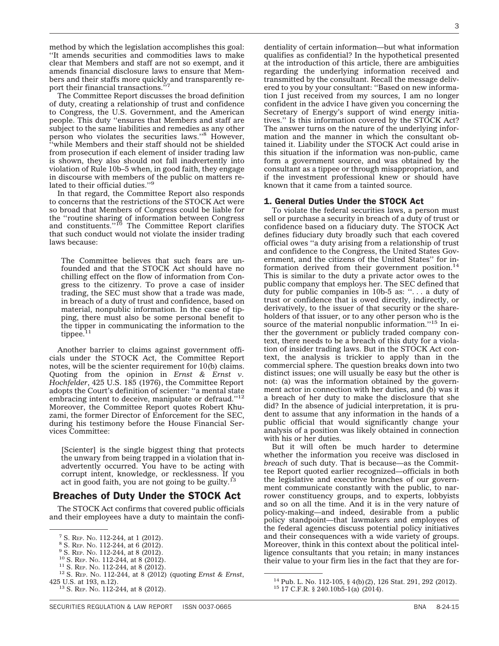method by which the legislation accomplishes this goal:

''It amends securities and commodities laws to make clear that Members and staff are not so exempt, and it amends financial disclosure laws to ensure that Members and their staffs more quickly and transparently report their financial transactions.'

The Committee Report discusses the broad definition of duty, creating a relationship of trust and confidence to Congress, the U.S. Government, and the American people. This duty ''ensures that Members and staff are subject to the same liabilities and remedies as any other person who violates the securities laws."<sup>8</sup> However, ''while Members and their staff should not be shielded from prosecution if each element of insider trading law is shown, they also should not fall inadvertently into violation of Rule 10b–5 when, in good faith, they engage in discourse with members of the public on matters re-lated to their official duties.''9

In that regard, the Committee Report also responds to concerns that the restrictions of the STOCK Act were so broad that Members of Congress could be liable for the ''routine sharing of information between Congress and constituents.''10 The Committee Report clarifies that such conduct would not violate the insider trading laws because:

The Committee believes that such fears are unfounded and that the STOCK Act should have no chilling effect on the flow of information from Congress to the citizenry. To prove a case of insider trading, the SEC must show that a trade was made, in breach of a duty of trust and confidence, based on material, nonpublic information. In the case of tipping, there must also be some personal benefit to the tipper in communicating the information to the tippee. $11$ 

Another barrier to claims against government officials under the STOCK Act, the Committee Report notes, will be the scienter requirement for 10(b) claims. Quoting from the opinion in *Ernst & Ernst v. Hochfelder*, 425 U.S. 185 (1976), the Committee Report adopts the Court's definition of scienter: ''a mental state embracing intent to deceive, manipulate or defraud."<sup>12</sup> Moreover, the Committee Report quotes Robert Khuzami, the former Director of Enforcement for the SEC, during his testimony before the House Financial Services Committee:

[Scienter] is the single biggest thing that protects the unwary from being trapped in a violation that inadvertently occurred. You have to be acting with corrupt intent, knowledge, or recklessness. If you act in good faith, you are not going to be guilty. $^{13}$ 

## Breaches of Duty Under the STOCK Act

The STOCK Act confirms that covered public officials and their employees have a duty to maintain the confi-

dentiality of certain information—but what information qualifies as confidential? In the hypothetical presented at the introduction of this article, there are ambiguities regarding the underlying information received and transmitted by the consultant. Recall the message delivered to you by your consultant: ''Based on new information I just received from my sources, I am no longer confident in the advice I have given you concerning the Secretary of Energy's support of wind energy initiatives.'' Is this information covered by the STOCK Act? The answer turns on the nature of the underlying information and the manner in which the consultant obtained it. Liability under the STOCK Act could arise in this situation if the information was non-public, came form a government source, and was obtained by the consultant as a tippee or through misappropriation, and if the investment professional knew or should have known that it came from a tainted source.

#### 1. General Duties Under the STOCK Act

To violate the federal securities laws, a person must sell or purchase a security in breach of a duty of trust or confidence based on a fiduciary duty. The STOCK Act defines fiduciary duty broadly such that each covered official owes ''a duty arising from a relationship of trust and confidence to the Congress, the United States Government, and the citizens of the United States'' for information derived from their government position.<sup>14</sup> This is similar to the duty a private actor owes to the public company that employs her. The SEC defined that duty for public companies in 10b-5 as: "... a duty of trust or confidence that is owed directly, indirectly, or derivatively, to the issuer of that security or the shareholders of that issuer, or to any other person who is the source of the material nonpublic information."<sup>15</sup> In either the government or publicly traded company context, there needs to be a breach of this duty for a violation of insider trading laws. But in the STOCK Act context, the analysis is trickier to apply than in the commercial sphere. The question breaks down into two distinct issues; one will usually be easy but the other is not: (a) was the information obtained by the government actor in connection with her duties, and (b) was it a breach of her duty to make the disclosure that she did? In the absence of judicial interpretation, it is prudent to assume that any information in the hands of a public official that would significantly change your analysis of a position was likely obtained in connection with his or her duties.

But it will often be much harder to determine whether the information you receive was disclosed in *breach* of such duty. That is because—as the Committee Report quoted earlier recognized—officials in both the legislative and executive branches of our government communicate constantly with the public, to narrower constituency groups, and to experts, lobbyists and so on all the time. And it is in the very nature of policy-making—and indeed, desirable from a public policy standpoint—that lawmakers and employees of the federal agencies discuss potential policy initiatives and their consequences with a wide variety of groups. Moreover, think in this context about the political intelligence consultants that you retain; in many instances their value to your firm lies in the fact that they are for-

<sup>&</sup>lt;sup>7</sup> S. REP. No. 112-244, at 1 (2012).<br>
<sup>8</sup> S. REP. No. 112-244, at 6 (2012).<br>
<sup>9</sup> S. REP. No. 112-244, at 8 (2012).<br>
<sup>10</sup> S. REP. No. 112-244, at 8 (2012).<br>
<sup>11</sup> S. REP. No. 112-244, at 8 (2012).<br>
<sup>12</sup> S. REP. No. 112-244

 $13$  S. REP. No. 112-244, at 8 (2012).

<sup>&</sup>lt;sup>14</sup> Pub. L. No. 112-105, § 4(b)(2), 126 Stat. 291, 292 (2012). <sup>15</sup> 17 C.F.R. § 240.10b5-1(a) (2014).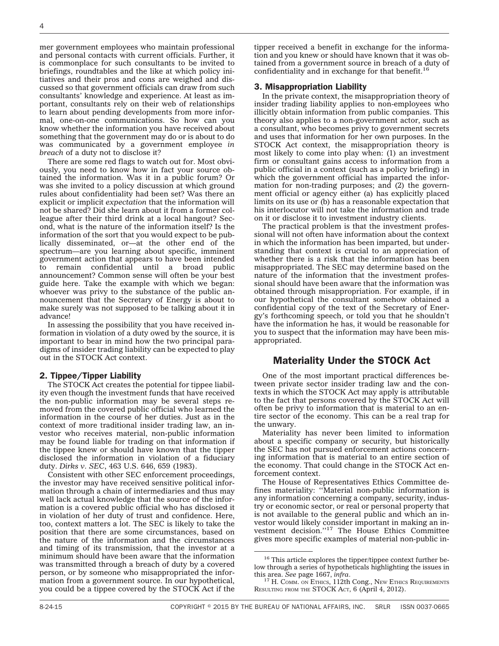mer government employees who maintain professional and personal contacts with current officials. Further, it is commonplace for such consultants to be invited to briefings, roundtables and the like at which policy initiatives and their pros and cons are weighed and discussed so that government officials can draw from such consultants' knowledge and experience. At least as important, consultants rely on their web of relationships to learn about pending developments from more informal, one-on-one communications. So how can you know whether the information you have received about something that the government may do or is about to do was communicated by a government employee *in breach* of a duty not to disclose it?

There are some red flags to watch out for. Most obviously, you need to know how in fact your source obtained the information. Was it in a public forum? Or was she invited to a policy discussion at which ground rules about confidentiality had been set? Was there an explicit or implicit *expectation* that the information will not be shared? Did she learn about it from a former colleague after their third drink at a local hangout? Second, what is the nature of the information itself? Is the information of the sort that you would expect to be publically disseminated, or—at the other end of the spectrum—are you learning about specific, imminent government action that appears to have been intended to remain confidential until a broad public announcement? Common sense will often be your best guide here. Take the example with which we began: whoever was privy to the substance of the public announcement that the Secretary of Energy is about to make surely was not supposed to be talking about it in advance!

In assessing the possibility that you have received information in violation of a duty owed by the source, it is important to bear in mind how the two principal paradigms of insider trading liability can be expected to play out in the STOCK Act context.

#### 2. Tippee/Tipper Liability

The STOCK Act creates the potential for tippee liability even though the investment funds that have received the non-public information may be several steps removed from the covered public official who learned the information in the course of her duties. Just as in the context of more traditional insider trading law, an investor who receives material, non-public information may be found liable for trading on that information if the tippee knew or should have known that the tipper disclosed the information in violation of a fiduciary duty. *Dirks v. SEC*, 463 U.S. 646, 659 (1983).

Consistent with other SEC enforcement proceedings, the investor may have received sensitive political information through a chain of intermediaries and thus may well lack actual knowledge that the source of the information is a covered public official who has disclosed it in violation of her duty of trust and confidence. Here, too, context matters a lot. The SEC is likely to take the position that there are some circumstances, based on the nature of the information and the circumstances and timing of its transmission, that the investor at a minimum should have been aware that the information was transmitted through a breach of duty by a covered person, or by someone who misappropriated the information from a government source. In our hypothetical, you could be a tippee covered by the STOCK Act if the

tipper received a benefit in exchange for the information and you knew or should have known that it was obtained from a government source in breach of a duty of confidentiality and in exchange for that benefit.<sup>16</sup>

#### 3. Misappropriation Liability

In the private context, the misappropriation theory of insider trading liability applies to non-employees who illicitly obtain information from public companies. This theory also applies to a non-government actor, such as a consultant, who becomes privy to government secrets and uses that information for her own purposes. In the STOCK Act context, the misappropriation theory is most likely to come into play when: (1) an investment firm or consultant gains access to information from a public official in a context (such as a policy briefing) in which the government official has imparted the information for non-trading purposes; and (2) the government official or agency either (a) has explicitly placed limits on its use or (b) has a reasonable expectation that his interlocutor will not take the information and trade on it or disclose it to investment industry clients.

The practical problem is that the investment professional will not often have information about the context in which the information has been imparted, but understanding that context is crucial to an appreciation of whether there is a risk that the information has been misappropriated. The SEC may determine based on the nature of the information that the investment professional should have been aware that the information was obtained through misappropriation. For example, if in our hypothetical the consultant somehow obtained a confidential copy of the text of the Secretary of Energy's forthcoming speech, or told you that he shouldn't have the information he has, it would be reasonable for you to suspect that the information may have been misappropriated.

#### Materiality Under the STOCK Act

One of the most important practical differences between private sector insider trading law and the contexts in which the STOCK Act may apply is attributable to the fact that persons covered by the STOCK Act will often be privy to information that is material to an entire sector of the economy. This can be a real trap for the unwary.

Materiality has never been limited to information about a specific company or security, but historically the SEC has not pursued enforcement actions concerning information that is material to an entire section of the economy. That could change in the STOCK Act enforcement context.

The House of Representatives Ethics Committee defines materiality: ''Material non-public information is any information concerning a company, security, industry or economic sector, or real or personal property that is not available to the general public and which an investor would likely consider important in making an in-vestment decision.''17 The House Ethics Committee gives more specific examples of material non-public in-

<sup>&</sup>lt;sup>16</sup> This article explores the tipper/tippee context further below through a series of hypotheticals highlighting the issues in this area. See page 1667, infra.

<sup>&</sup>lt;sup>17</sup> H. COMM. ON ETHICS, 112th Cong., NEW ETHICS REQUIREMENTS RESULTING FROM THE STOCK ACT, 6 (April 4, 2012).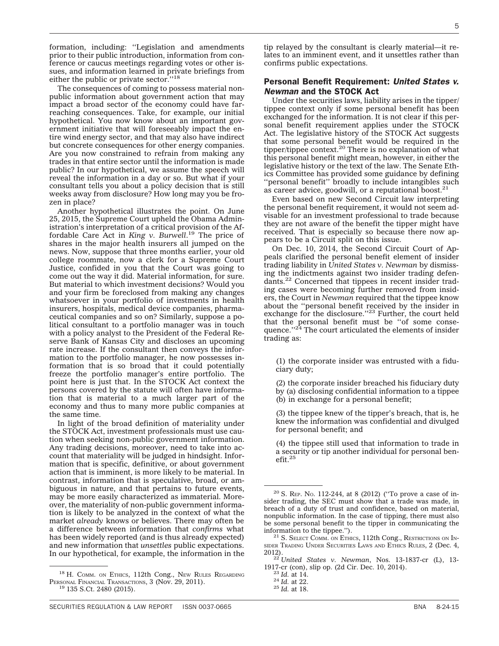formation, including: ''Legislation and amendments prior to their public introduction, information from conference or caucus meetings regarding votes or other issues, and information learned in private briefings from either the public or private sector."<sup>18</sup>

The consequences of coming to possess material nonpublic information about government action that may impact a broad sector of the economy could have farreaching consequences. Take, for example, our initial hypothetical. You now know about an important government initiative that will foreseeably impact the entire wind energy sector, and that may also have indirect but concrete consequences for other energy companies. Are you now constrained to refrain from making any trades in that entire sector until the information is made public? In our hypothetical, we assume the speech will reveal the information in a day or so. But what if your consultant tells you about a policy decision that is still weeks away from disclosure? How long may you be frozen in place?

Another hypothetical illustrates the point. On June 25, 2015, the Supreme Court upheld the Obama Administration's interpretation of a critical provision of the Affordable Care Act in *King v. Burwell*. <sup>19</sup> The price of shares in the major health insurers all jumped on the news. Now, suppose that three months earlier, your old college roommate, now a clerk for a Supreme Court Justice, confided in you that the Court was going to come out the way it did. Material information, for sure. But material to which investment decisions? Would you and your firm be foreclosed from making any changes whatsoever in your portfolio of investments in health insurers, hospitals, medical device companies, pharmaceutical companies and so on? Similarly, suppose a political consultant to a portfolio manager was in touch with a policy analyst to the President of the Federal Reserve Bank of Kansas City and discloses an upcoming rate increase. If the consultant then conveys the information to the portfolio manager, he now possesses information that is so broad that it could potentially freeze the portfolio manager's entire portfolio. The point here is just that. In the STOCK Act context the persons covered by the statute will often have information that is material to a much larger part of the economy and thus to many more public companies at the same time.

In light of the broad definition of materiality under the STOCK Act, investment professionals must use caution when seeking non-public government information. Any trading decisions, moreover, need to take into account that materiality will be judged in hindsight. Information that is specific, definitive, or about government action that is imminent, is more likely to be material. In contrast, information that is speculative, broad, or ambiguous in nature, and that pertains to future events, may be more easily characterized as immaterial. Moreover, the materiality of non-public government information is likely to be analyzed in the context of what the market *already* knows or believes. There may often be a difference between information that *confirms* what has been widely reported (and is thus already expected) and new information that *unsettles* public expectations. In our hypothetical, for example, the information in the

18 H. COMM. ON ETHICS, 112th Cong., New RULES REGARDING PERSONAL FINANCIAL TRANSACTIONS, 3 (NOV. 29, 2011).<br><sup>19</sup> 135 S.Ct. 2480 (2015).

#### Personal Benefit Requirement: *United States v. Newman* and the STOCK Act

Under the securities laws, liability arises in the tipper/ tippee context only if some personal benefit has been exchanged for the information. It is not clear if this personal benefit requirement applies under the STOCK Act. The legislative history of the STOCK Act suggests that some personal benefit would be required in the tipper/tippee context.<sup>20</sup> There is no explanation of what this personal benefit might mean, however, in either the legislative history or the text of the law. The Senate Ethics Committee has provided some guidance by defining ''personal benefit'' broadly to include intangibles such as career advice, goodwill, or a reputational boost.<sup>2</sup>

Even based on new Second Circuit law interpreting the personal benefit requirement, it would not seem advisable for an investment professional to trade because they are not aware of the benefit the tipper might have received. That is especially so because there now appears to be a Circuit split on this issue.

On Dec. 10, 2014, the Second Circuit Court of Appeals clarified the personal benefit element of insider trading liability in *United States v. Newman* by dismissing the indictments against two insider trading defendants.<sup>22</sup> Concerned that tippees in recent insider trading cases were becoming further removed from insiders, the Court in *Newman* required that the tippee know about the ''personal benefit received by the insider in exchange for the disclosure."<sup>23</sup> Further, the court held that the personal benefit must be "of some conse-<br>quence."<sup>24</sup> The court articulated the elements of insider trading as:

(1) the corporate insider was entrusted with a fiduciary duty;

(2) the corporate insider breached his fiduciary duty by (a) disclosing confidential information to a tippee (b) in exchange for a personal benefit;

(3) the tippee knew of the tipper's breach, that is, he knew the information was confidential and divulged for personal benefit; and

(4) the tippee still used that information to trade in a security or tip another individual for personal ben- $\mathrm{efit.}^{25}$ 

tip relayed by the consultant is clearly material—it relates to an imminent event, and it unsettles rather than confirms public expectations.

 $20$  S. REP. No. 112-244, at 8 (2012) ("To prove a case of insider trading, the SEC must show that a trade was made, in breach of a duty of trust and confidence, based on material, nonpublic information. In the case of tipping, there must also be some personal benefit to the tipper in communicating the information to the tippee.").

 $^{21}$  S. Select Comm. On Ethics, 112th Cong., Restrictions on In-SIDER TRADING UNDER SECURITIES LAWS AND ETHICS RULES, 2 (Dec. 4, 2012).

<sup>&</sup>lt;sup>22</sup> *United States v. Newman*, Nos. 13-1837-cr (L), 13-1917-cr (con), slip op. (2d Cir. Dec. 10, 2014). <sup>23</sup> *Id.* at 14. <sup>24</sup> *Id.* at 22. <sup>25</sup> *Id.* at 18.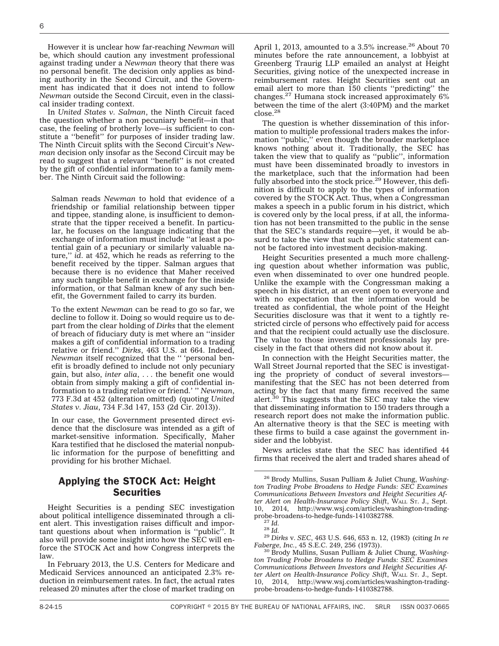However it is unclear how far-reaching *Newman* will be, which should caution any investment professional against trading under a *Newman* theory that there was no personal benefit. The decision only applies as binding authority in the Second Circuit, and the Government has indicated that it does not intend to follow *Newman* outside the Second Circuit, even in the classical insider trading context.

In *United States v. Salman*, the Ninth Circuit faced the question whether a non pecuniary benefit—in that case, the feeling of brotherly love—is sufficient to constitute a ''benefit'' for purposes of insider trading law. The Ninth Circuit splits with the Second Circuit's *Newman* decision only insofar as the Second Circuit may be read to suggest that a relevant ''benefit'' is not created by the gift of confidential information to a family member. The Ninth Circuit said the following:

Salman reads *Newman* to hold that evidence of a friendship or familial relationship between tipper and tippee, standing alone, is insufficient to demonstrate that the tipper received a benefit. In particular, he focuses on the language indicating that the exchange of information must include ''at least a potential gain of a pecuniary or similarly valuable nature,'' *id*. at 452, which he reads as referring to the benefit received by the tipper. Salman argues that because there is no evidence that Maher received any such tangible benefit in exchange for the inside information, or that Salman knew of any such benefit, the Government failed to carry its burden.

To the extent *Newman* can be read to go so far, we decline to follow it. Doing so would require us to depart from the clear holding of *Dirks* that the element of breach of fiduciary duty is met where an ''insider makes a gift of confidential information to a trading relative or friend.'' *Dirks*, 463 U.S. at 664. Indeed, *Newman* itself recognized that the '' 'personal benefit is broadly defined to include not only pecuniary gain, but also, *inter alia*, . . . the benefit one would obtain from simply making a gift of confidential information to a trading relative or friend.' '' *Newman*, 773 F.3d at 452 (alteration omitted) (quoting *United States v. Jiau*, 734 F.3d 147, 153 (2d Cir. 2013)).

In our case, the Government presented direct evidence that the disclosure was intended as a gift of market-sensitive information. Specifically, Maher Kara testified that he disclosed the material nonpublic information for the purpose of benefitting and providing for his brother Michael.

## Applying the STOCK Act: Height **Securities**

Height Securities is a pending SEC investigation about political intelligence disseminated through a client alert. This investigation raises difficult and important questions about when information is ''public''. It also will provide some insight into how the SEC will enforce the STOCK Act and how Congress interprets the law.

In February 2013, the U.S. Centers for Medicare and Medicaid Services announced an anticipated 2.3% reduction in reimbursement rates. In fact, the actual rates released 20 minutes after the close of market trading on

April 1, 2013, amounted to a 3.5% increase.<sup>26</sup> About 70 minutes before the rate announcement, a lobbyist at Greenberg Traurig LLP emailed an analyst at Height Securities, giving notice of the unexpected increase in reimbursement rates. Height Securities sent out an email alert to more than 150 clients ''predicting'' the changes.<sup>27</sup> Humana stock increased approximately 6% between the time of the alert (3:40PM) and the market close.<sup>28</sup>

The question is whether dissemination of this information to multiple professional traders makes the information ''public,'' even though the broader marketplace knows nothing about it. Traditionally, the SEC has taken the view that to qualify as ''public'', information must have been disseminated broadly to investors in the marketplace, such that the information had been fully absorbed into the stock price.<sup>29</sup> However, this definition is difficult to apply to the types of information covered by the STOCK Act. Thus, when a Congressman makes a speech in a public forum in his district, which is covered only by the local press, if at all, the information has not been transmitted to the public in the sense that the SEC's standards require—yet, it would be absurd to take the view that such a public statement cannot be factored into investment decision-making.

Height Securities presented a much more challenging question about whether information was public, even when disseminated to over one hundred people. Unlike the example with the Congressman making a speech in his district, at an event open to everyone and with no expectation that the information would be treated as confidential, the whole point of the Height Securities disclosure was that it went to a tightly restricted circle of persons who effectively paid for access and that the recipient could actually use the disclosure. The value to those investment professionals lay precisely in the fact that others did not know about it.

In connection with the Height Securities matter, the Wall Street Journal reported that the SEC is investigating the propriety of conduct of several investors manifesting that the SEC has not been deterred from acting by the fact that many firms received the same alert.<sup>30</sup> This suggests that the SEC may take the view that disseminating information to 150 traders through a research report does not make the information public. An alternative theory is that the SEC is meeting with these firms to build a case against the government insider and the lobbyist.

News articles state that the SEC has identified 44 firms that received the alert and traded shares ahead of

<sup>26</sup> Brody Mullins, Susan Pulliam & Juliet Chung, *Washington Trading Probe Broadens to Hedge Funds: SEC Examines Communications Between Investors and Height Securities After Alert on Health-Insurance Policy Shift*, WALL ST. J., Sept. 10, 2014, [http://www.wsj.com/articles/washington-trading-](http://www.wsj.com/articles/washington-trading-probe-broadens-to-hedge-funds-1410382788)

[probe-broadens-to-hedge-funds-1410382788.](http://www.wsj.com/articles/washington-trading-probe-broadens-to-hedge-funds-1410382788) <sup>27</sup> *Id.* <sup>28</sup> *Id.* <sup>29</sup> *Dirks* v. *SEC*, 463 U.S. 646, 653 n. 12, (1983) (citing *In re*

<sup>&</sup>lt;sup>30</sup> Brody Mullins, Susan Pulliam & Juliet Chung, *Washington Trading Probe Broadens to Hedge Funds: SEC Examines Communications Between Investors and Height Securities After Alert on Health-Insurance Policy Shift*, WALL ST. J., Sept. 10, 2014, [http://www.wsj.com/articles/washington-trading](http://www.wsj.com/articles/washington-trading-probe-broadens-to-hedge-funds-1410382788)[probe-broadens-to-hedge-funds-1410382788.](http://www.wsj.com/articles/washington-trading-probe-broadens-to-hedge-funds-1410382788)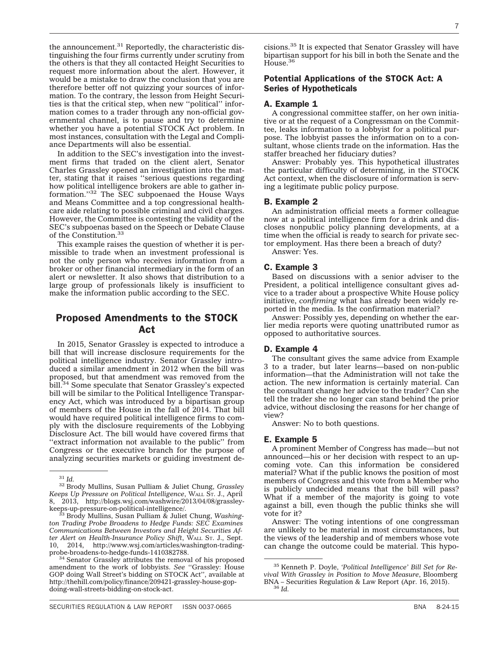the announcement.<sup>31</sup> Reportedly, the characteristic distinguishing the four firms currently under scrutiny from the others is that they all contacted Height Securities to request more information about the alert. However, it would be a mistake to draw the conclusion that you are therefore better off not quizzing your sources of information. To the contrary, the lesson from Height Securities is that the critical step, when new ''political'' information comes to a trader through any non-official governmental channel, is to pause and try to determine whether you have a potential STOCK Act problem. In most instances, consultation with the Legal and Compliance Departments will also be essential.

In addition to the SEC's investigation into the investment firms that traded on the client alert, Senator Charles Grassley opened an investigation into the matter, stating that it raises ''serious questions regarding how political intelligence brokers are able to gather information.''<sup>32</sup> The SEC subpoenaed the House Ways and Means Committee and a top congressional healthcare aide relating to possible criminal and civil charges. However, the Committee is contesting the validity of the SEC's subpoenas based on the Speech or Debate Clause of the Constitution.<sup>33</sup>

This example raises the question of whether it is permissible to trade when an investment professional is not the only person who receives information from a broker or other financial intermediary in the form of an alert or newsletter. It also shows that distribution to a large group of professionals likely is insufficient to make the information public according to the SEC.

## Proposed Amendments to the STOCK Act

In 2015, Senator Grassley is expected to introduce a bill that will increase disclosure requirements for the political intelligence industry. Senator Grassley introduced a similar amendment in 2012 when the bill was proposed, but that amendment was removed from the bill.<sup>34</sup> Some speculate that Senator Grassley's expected bill will be similar to the Political Intelligence Transparency Act, which was introduced by a bipartisan group of members of the House in the fall of 2014. That bill would have required political intelligence firms to comply with the disclosure requirements of the Lobbying Disclosure Act. The bill would have covered firms that ''extract information not available to the public'' from Congress or the executive branch for the purpose of analyzing securities markets or guiding investment de-

<sup>34</sup> Senator Grassley attributes the removal of his proposed amendment to the work of lobbyists. *See* ''Grassley: House GOP doing Wall Street's bidding on STOCK Act'', available at [http://thehill.com/policy/finance/209421-grassley-house-gop](http://thehill.com/policy/finance/209421-grassley-house-gop-doing-wall-streets-bidding-on-stock-act)[doing-wall-streets-bidding-on-stock-act.](http://thehill.com/policy/finance/209421-grassley-house-gop-doing-wall-streets-bidding-on-stock-act)

## Potential Applications of the STOCK Act: A Series of Hypotheticals

#### A. Example 1

House.<sup>36</sup>

A congressional committee staffer, on her own initiative or at the request of a Congressman on the Committee, leaks information to a lobbyist for a political purpose. The lobbyist passes the information on to a consultant, whose clients trade on the information. Has the staffer breached her fiduciary duties?

Answer: Probably yes. This hypothetical illustrates the particular difficulty of determining, in the STOCK Act context, when the disclosure of information is serving a legitimate public policy purpose.

#### B. Example 2

An administration official meets a former colleague now at a political intelligence firm for a drink and discloses nonpublic policy planning developments, at a time when the official is ready to search for private sector employment. Has there been a breach of duty?

Answer: Yes.

#### C. Example 3

Based on discussions with a senior adviser to the President, a political intelligence consultant gives advice to a trader about a prospective White House policy initiative, *confirming* what has already been widely reported in the media. Is the confirmation material?

Answer: Possibly yes, depending on whether the earlier media reports were quoting unattributed rumor as opposed to authoritative sources.

#### D. Example 4

The consultant gives the same advice from Example 3 to a trader, but later learns—based on non-public information—that the Administration will not take the action. The new information is certainly material. Can the consultant change her advice to the trader? Can she tell the trader she no longer can stand behind the prior advice, without disclosing the reasons for her change of view?

Answer: No to both questions.

#### E. Example 5

A prominent Member of Congress has made—but not announced—his or her decision with respect to an upcoming vote. Can this information be considered material? What if the public knows the position of most members of Congress and this vote from a Member who is publicly undecided means that the bill will pass? What if a member of the majority is going to vote against a bill, even though the public thinks she will vote for it?

Answer: The voting intentions of one congressman are unlikely to be material in most circumstances, but the views of the leadership and of members whose vote can change the outcome could be material. This hypo-

<sup>31</sup> *Id.* <sup>32</sup> Brody Mullins, Susan Pulliam & Juliet Chung, *Grassley Keeps Up Pressure on Political Intelligence*, WALL ST. J., April 8, 2013, [http://blogs.wsj.com/washwire/2013/04/08/grassley](http://blogs.wsj.com/washwire/2013/04/08/grassley-keeps-up-pressure-on-political-intelligence/)[keeps-up-pressure-on-political-intelligence/.](http://blogs.wsj.com/washwire/2013/04/08/grassley-keeps-up-pressure-on-political-intelligence/)<br><sup>33</sup> Brody Mullins, Susan Pulliam & Juliet Chung, *Washing-*

*ton Trading Probe Broadens to Hedge Funds: SEC Examines Communications Between Investors and Height Securities After Alert on Health-Insurance Policy Shift*, WALL ST. J., Sept. 10, 2014, [http://www.wsj.com/articles/washington-trading-](http://www.wsj.com/articles/washington-trading-probe-broadens-to-hedge-funds-1410382788)

<sup>35</sup> Kenneth P. Doyle, *'Political Intelligence' Bill Set for Revival With Grassley in Position to Move Measure*, Bloomberg BNA – Securities Regulation & Law Report (Apr. 16, 2015). <sup>36</sup> *Id.*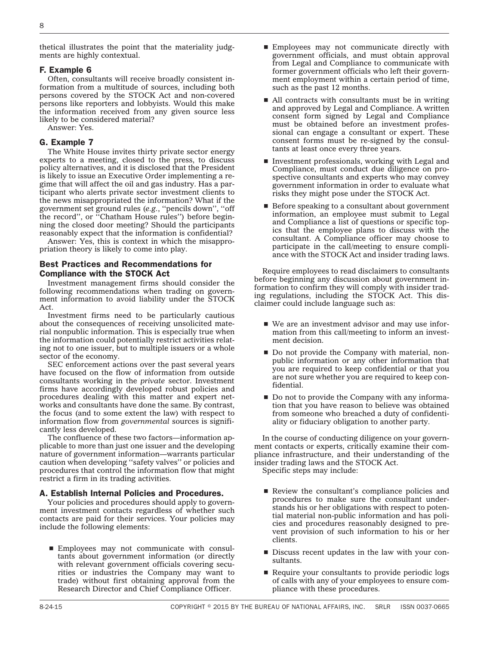thetical illustrates the point that the materiality judgments are highly contextual.

#### F. Example 6

Often, consultants will receive broadly consistent information from a multitude of sources, including both persons covered by the STOCK Act and non-covered persons like reporters and lobbyists. Would this make the information received from any given source less likely to be considered material?

Answer: Yes.

#### G. Example 7

The White House invites thirty private sector energy experts to a meeting, closed to the press, to discuss policy alternatives, and it is disclosed that the President is likely to issue an Executive Order implementing a regime that will affect the oil and gas industry. Has a participant who alerts private sector investment clients to the news misappropriated the information? What if the government set ground rules (*e.g.*, ''pencils down'', ''off the record'', or ''Chatham House rules'') before beginning the closed door meeting? Should the participants reasonably expect that the information is confidential?

Answer: Yes, this is context in which the misappropriation theory is likely to come into play.

#### Best Practices and Recommendations for Compliance with the STOCK Act

Investment management firms should consider the following recommendations when trading on government information to avoid liability under the STOCK Act.

Investment firms need to be particularly cautious about the consequences of receiving unsolicited material nonpublic information. This is especially true when the information could potentially restrict activities relating not to one issuer, but to multiple issuers or a whole sector of the economy.

SEC enforcement actions over the past several years have focused on the flow of information from outside consultants working in the *private* sector. Investment firms have accordingly developed robust policies and procedures dealing with this matter and expert networks and consultants have done the same. By contrast, the focus (and to some extent the law) with respect to information flow from *governmental* sources is significantly less developed.

The confluence of these two factors—information applicable to more than just one issuer and the developing nature of government information—warrants particular caution when developing ''safety valves'' or policies and procedures that control the information flow that might restrict a firm in its trading activities.

#### A. Establish Internal Policies and Procedures.

Your policies and procedures should apply to government investment contacts regardless of whether such contacts are paid for their services. Your policies may include the following elements:

■ Employees may not communicate with consultants about government information (or directly with relevant government officials covering securities or industries the Company may want to trade) without first obtaining approval from the Research Director and Chief Compliance Officer.

- **Employees may not communicate directly with** government officials, and must obtain approval from Legal and Compliance to communicate with former government officials who left their government employment within a certain period of time, such as the past 12 months.
- $\blacksquare$  All contracts with consultants must be in writing and approved by Legal and Compliance. A written consent form signed by Legal and Compliance must be obtained before an investment professional can engage a consultant or expert. These consent forms must be re-signed by the consultants at least once every three years.
- $\blacksquare$  Investment professionals, working with Legal and Compliance, must conduct due diligence on prospective consultants and experts who may convey government information in order to evaluate what risks they might pose under the STOCK Act.
- $\blacksquare$  Before speaking to a consultant about government information, an employee must submit to Legal and Compliance a list of questions or specific topics that the employee plans to discuss with the consultant. A Compliance officer may choose to participate in the call/meeting to ensure compliance with the STOCK Act and insider trading laws.

Require employees to read disclaimers to consultants before beginning any discussion about government information to confirm they will comply with insider trading regulations, including the STOCK Act. This disclaimer could include language such as:

- $\blacksquare$  We are an investment advisor and may use information from this call/meeting to inform an investment decision.
- Do not provide the Company with material, nonpublic information or any other information that you are required to keep confidential or that you are not sure whether you are required to keep confidential.
- Do not to provide the Company with any information that you have reason to believe was obtained from someone who breached a duty of confidentiality or fiduciary obligation to another party.

In the course of conducting diligence on your government contacts or experts, critically examine their compliance infrastructure, and their understanding of the insider trading laws and the STOCK Act.

Specific steps may include:

- Review the consultant's compliance policies and procedures to make sure the consultant understands his or her obligations with respect to potential material non-public information and has policies and procedures reasonably designed to prevent provision of such information to his or her clients.
- Discuss recent updates in the law with your consultants.
- $\blacksquare$  Require your consultants to provide periodic logs of calls with any of your employees to ensure compliance with these procedures.